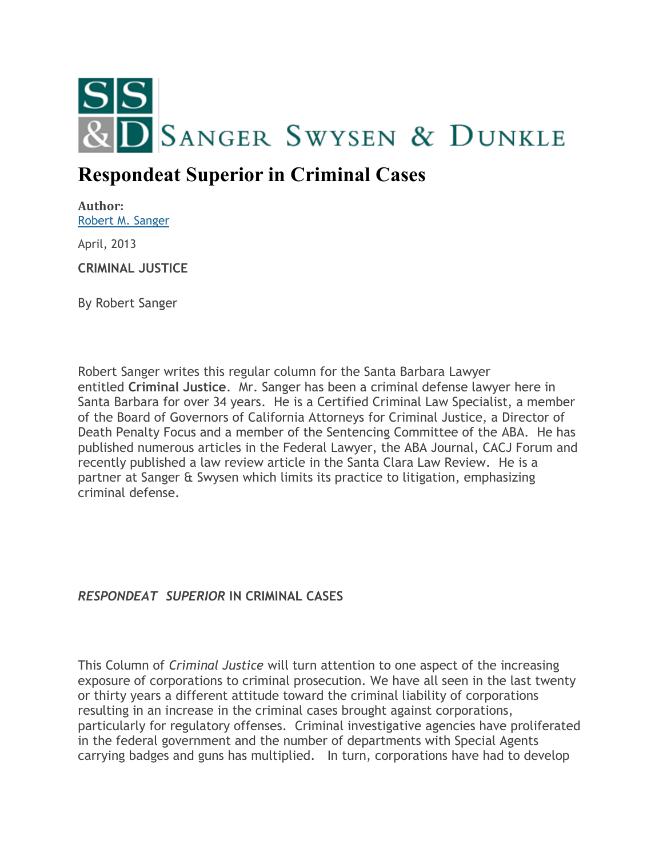

## **Respondeat Superior in Criminal Cases**

**Author:** [Robert M. Sanger](http://sangerswysen.com/robert-m-sanger)

April, 2013

**CRIMINAL JUSTICE**

By Robert Sanger

Robert Sanger writes this regular column for the Santa Barbara Lawyer entitled **Criminal Justice**. Mr. Sanger has been a criminal defense lawyer here in Santa Barbara for over 34 years. He is a Certified Criminal Law Specialist, a member of the Board of Governors of California Attorneys for Criminal Justice, a Director of Death Penalty Focus and a member of the Sentencing Committee of the ABA. He has published numerous articles in the Federal Lawyer, the ABA Journal, CACJ Forum and recently published a law review article in the Santa Clara Law Review. He is a partner at Sanger & Swysen which limits its practice to litigation, emphasizing criminal defense.

*RESPONDEAT SUPERIOR* **IN CRIMINAL CASES**

This Column of *Criminal Justice* will turn attention to one aspect of the increasing exposure of corporations to criminal prosecution. We have all seen in the last twenty or thirty years a different attitude toward the criminal liability of corporations resulting in an increase in the criminal cases brought against corporations, particularly for regulatory offenses. Criminal investigative agencies have proliferated in the federal government and the number of departments with Special Agents carrying badges and guns has multiplied. In turn, corporations have had to develop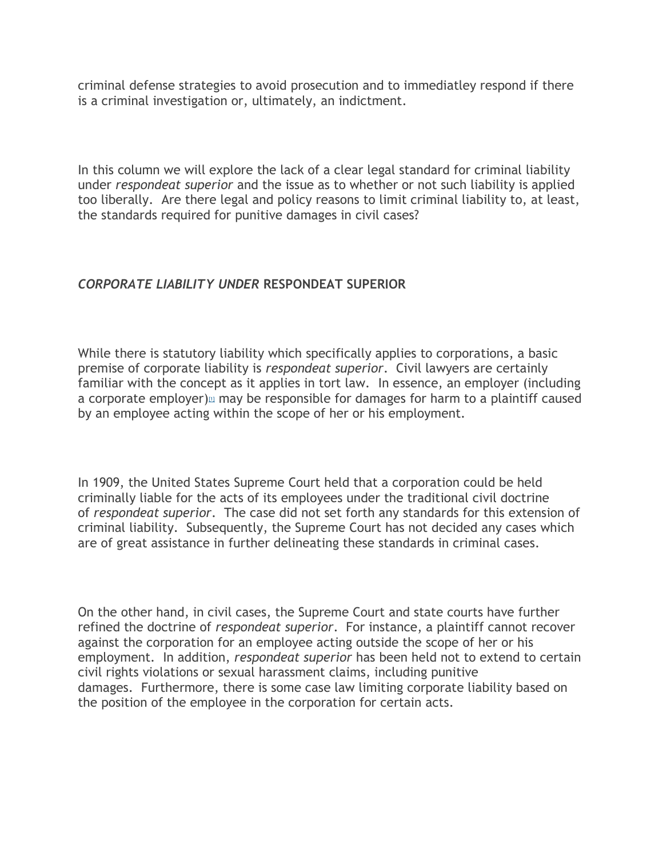criminal defense strategies to avoid prosecution and to immediatley respond if there is a criminal investigation or, ultimately, an indictment.

In this column we will explore the lack of a clear legal standard for criminal liability under *respondeat superior* and the issue as to whether or not such liability is applied too liberally. Are there legal and policy reasons to limit criminal liability to, at least, the standards required for punitive damages in civil cases?

## *CORPORATE LIABILITY UNDER* **RESPONDEAT SUPERIOR**

While there is statutory liability which specifically applies to corporations, a basic premise of corporate liability is *respondeat superior*. Civil lawyers are certainly familiar with the concept as it applies in tort law. In essence, an employer (including a corporate employer[\)](#page-5-0) $\omega$  may be responsible for damages for harm to a plaintiff caused by an employee acting within the scope of her or his employment.

In 1909, the United States Supreme Court held that a corporation could be held criminally liable for the acts of its employees under the traditional civil doctrine of *respondeat superior*. The case did not set forth any standards for this extension of criminal liability. Subsequently, the Supreme Court has not decided any cases which are of great assistance in further delineating these standards in criminal cases.

On the other hand, in civil cases, the Supreme Court and state courts have further refined the doctrine of *respondeat superior*. For instance, a plaintiff cannot recover against the corporation for an employee acting outside the scope of her or his employment. In addition, *respondeat superior* has been held not to extend to certain civil rights violations or sexual harassment claims, including punitive damages. Furthermore, there is some case law limiting corporate liability based on the position of the employee in the corporation for certain acts.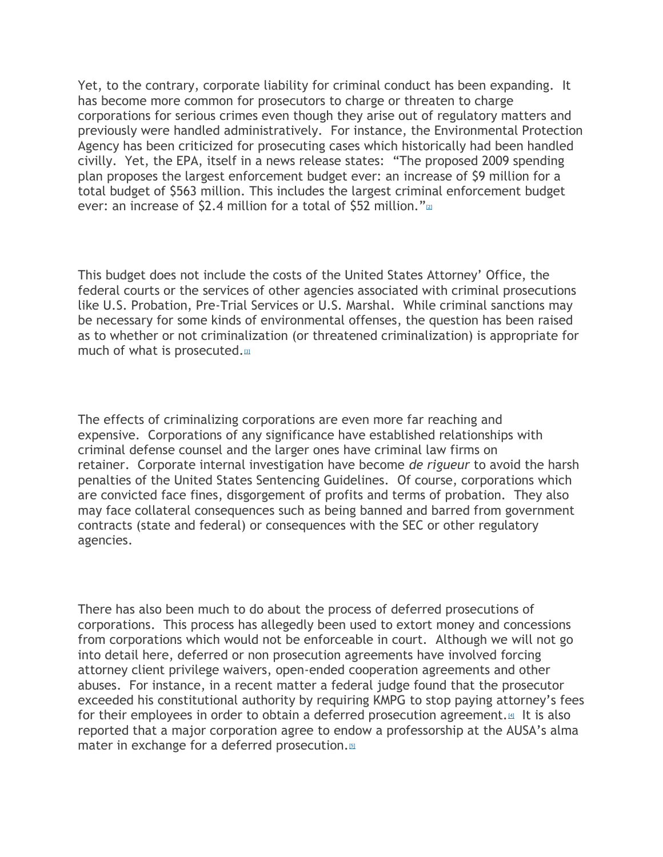Yet, to the contrary, corporate liability for criminal conduct has been expanding. It has become more common for prosecutors to charge or threaten to charge corporations for serious crimes even though they arise out of regulatory matters and previously were handled administratively. For instance, the Environmental Protection Agency has been criticized for prosecuting cases which historically had been handled civilly. Yet, the EPA, itself in a news release states: "The proposed 2009 spending plan proposes the largest enforcement budget ever: an increase of \$9 million for a total budget of \$563 million. This includes the largest criminal enforcement budget ever: an increase of \$2.4 million for a total of \$52 million.["](#page-5-1) $\mathbb{Z}$ 

This budget does not include the costs of the United States Attorney' Office, the federal courts or the services of other agencies associated with criminal prosecutions like U.S. Probation, Pre-Trial Services or U.S. Marshal. While criminal sanctions may be necessary for some kinds of environmental offenses, the question has been raised as to whether or not criminalization (or threatened criminalization) is appropriate for much of what is prosecuted[.](#page-5-2)<sup>[3]</sup>

The effects of criminalizing corporations are even more far reaching and expensive. Corporations of any significance have established relationships with criminal defense counsel and the larger ones have criminal law firms on retainer. Corporate internal investigation have become *de rigueur* to avoid the harsh penalties of the United States Sentencing Guidelines. Of course, corporations which are convicted face fines, disgorgement of profits and terms of probation. They also may face collateral consequences such as being banned and barred from government contracts (state and federal) or consequences with the SEC or other regulatory agencies.

There has also been much to do about the process of deferred prosecutions of corporations. This process has allegedly been used to extort money and concessions from corporations which would not be enforceable in court. Although we will not go into detail here, deferred or non prosecution agreements have involved forcing attorney client privilege waivers, open-ended cooperation agreements and other abuses. For instance, in a recent matter a federal judge found that the prosecutor exceeded his constitutional authority by requiring KMPG to stop paying attorney's fees for their employees in order to obtain a deferred prosecution agreement. $\mathbb{A}$  It is also reported that a major corporation agree to endow a professorship at the AUSA's alma mater in exchange for a deferred prosecution[.](#page-6-1)<sup>[5]</sup>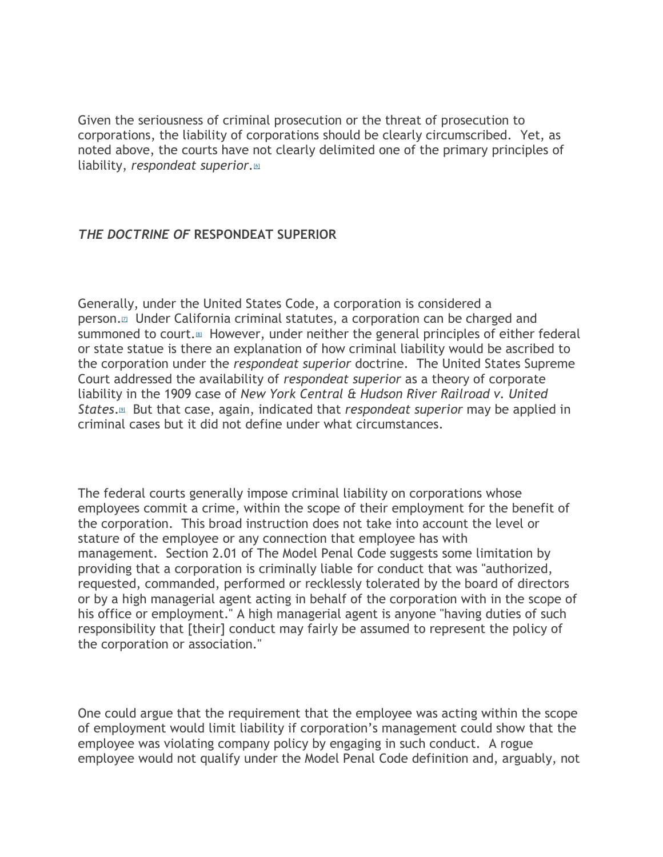Given the seriousness of criminal prosecution or the threat of prosecution to corporations, the liability of corporations should be clearly circumscribed. Yet, as noted above, the courts have not clearly delimited one of the primary principles of liability, *respondeat superior[.](#page-6-2)*[6]

## *THE DOCTRINE OF* **RESPONDEAT SUPERIOR**

Generally, under the United States Code, a corporation is considered a person[.](#page-6-3)[7] Under California criminal statutes, a corporation can be charged and summoned to court.<sup>[\[8\]](#page-6-4)</sup> However, under neither the general principles of either federal or state statue is there an explanation of how criminal liability would be ascribed to the corporation under the *respondeat superior* doctrine. The United States Supreme Court addressed the availability of *respondeat superior* as a theory of corporate liability in the 1909 case of *New York Central & Hudson River Railroad v. United States*.[\[9\]](#page-6-5) But that case, again, indicated that *respondeat superior* may be applied in criminal cases but it did not define under what circumstances.

The federal courts generally impose criminal liability on corporations whose employees commit a crime, within the scope of their employment for the benefit of the corporation. This broad instruction does not take into account the level or stature of the employee or any connection that employee has with management. Section 2.01 of The Model Penal Code suggests some limitation by providing that a corporation is criminally liable for conduct that was "authorized, requested, commanded, performed or recklessly tolerated by the board of directors or by a high managerial agent acting in behalf of the corporation with in the scope of his office or employment." A high managerial agent is anyone "having duties of such responsibility that [their] conduct may fairly be assumed to represent the policy of the corporation or association."

One could argue that the requirement that the employee was acting within the scope of employment would limit liability if corporation's management could show that the employee was violating company policy by engaging in such conduct. A rogue employee would not qualify under the Model Penal Code definition and, arguably, not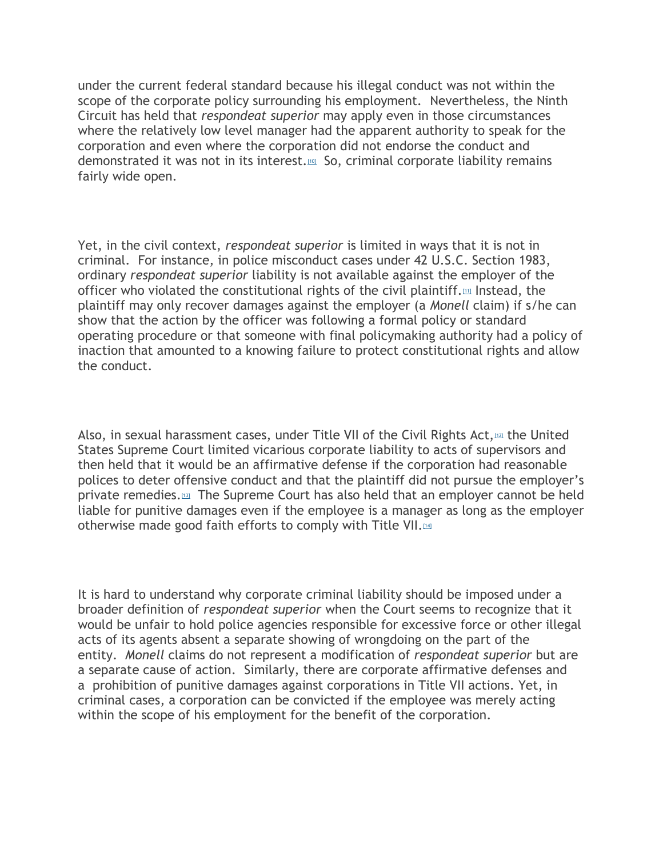under the current federal standard because his illegal conduct was not within the scope of the corporate policy surrounding his employment. Nevertheless, the Ninth Circuit has held that *respondeat superior* may apply even in those circumstances where the relatively low level manager had the apparent authority to speak for the corporation and even where the corporation did not endorse the conduct and demonstrated it was not in its interest.<sup>[\[10\]](#page-6-6)</sup> So, criminal corporate liability remains fairly wide open.

Yet, in the civil context, *respondeat superior* is limited in ways that it is not in criminal. For instance, in police misconduct cases under 42 U.S.C. Section 1983, ordinary *respondeat superior* liability is not available against the employer of the officer who violated the constitutional rights of the civil plaintiff. $m$  Instead, the plaintiff may only recover damages against the employer (a *Monell* claim) if s/he can show that the action by the officer was following a formal policy or standard operating procedure or that someone with final policymaking authority had a policy of inaction that amounted to a knowing failure to protect constitutional rights and allow the conduct.

Also, in sexual harassment cases, under Title VII of the Civil Rights Act, $1/22$  the United States Supreme Court limited vicarious corporate liability to acts of supervisors and then held that it would be an affirmative defense if the corporation had reasonable polices to deter offensive conduct and that the plaintiff did not pursue the employer's private remedies.[\[13\]](#page-6-9) The Supreme Court has also held that an employer cannot be held liable for punitive damages even if the employee is a manager as long as the employer otherwise made good faith efforts to comply with Title VII.<sup>[\[14\]](#page-6-10)</sup>

It is hard to understand why corporate criminal liability should be imposed under a broader definition of *respondeat superior* when the Court seems to recognize that it would be unfair to hold police agencies responsible for excessive force or other illegal acts of its agents absent a separate showing of wrongdoing on the part of the entity. *Monell* claims do not represent a modification of *respondeat superior* but are a separate cause of action. Similarly, there are corporate affirmative defenses and a prohibition of punitive damages against corporations in Title VII actions. Yet, in criminal cases, a corporation can be convicted if the employee was merely acting within the scope of his employment for the benefit of the corporation.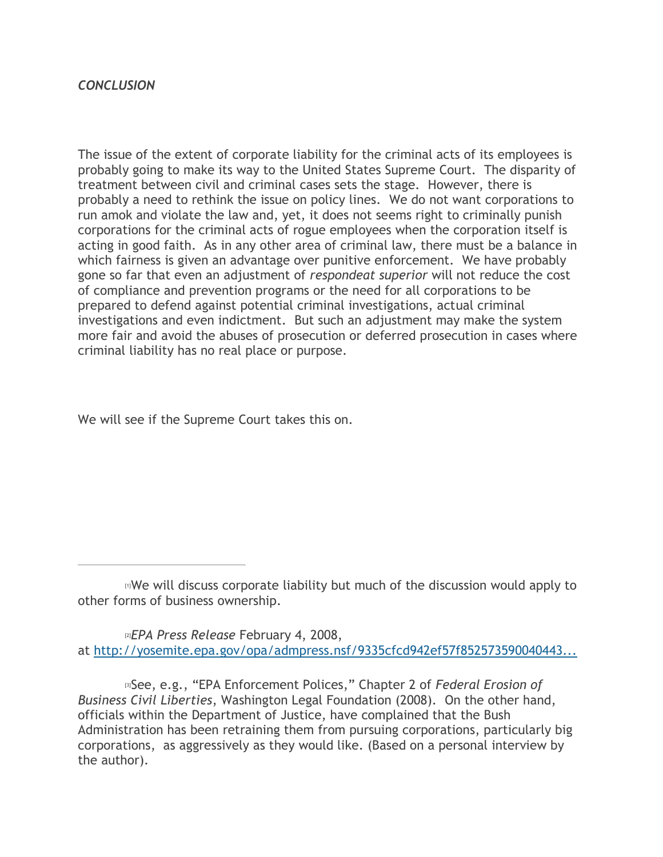## *CONCLUSION*

The issue of the extent of corporate liability for the criminal acts of its employees is probably going to make its way to the United States Supreme Court. The disparity of treatment between civil and criminal cases sets the stage. However, there is probably a need to rethink the issue on policy lines. We do not want corporations to run amok and violate the law and, yet, it does not seems right to criminally punish corporations for the criminal acts of rogue employees when the corporation itself is acting in good faith. As in any other area of criminal law, there must be a balance in which fairness is given an advantage over punitive enforcement. We have probably gone so far that even an adjustment of *respondeat superior* will not reduce the cost of compliance and prevention programs or the need for all corporations to be prepared to defend against potential criminal investigations, actual criminal investigations and even indictment. But such an adjustment may make the system more fair and avoid the abuses of prosecution or deferred prosecution in cases where criminal liability has no real place or purpose.

We will see if the Supreme Court takes this on.

<span id="page-5-1"></span>[2]*EPA Press Release* February 4, 2008, at [http://yosemite.epa.gov/opa/admpress.nsf/9335cfcd942ef57f852573590040443...](http://yosemite.epa.gov/opa/admpress.nsf/9335cfcd942ef57f8525735900404439/919c10643ca8de5d852573e5006876e6!OpenDocument)

<span id="page-5-2"></span>[3]See, e.g., "EPA Enforcement Polices," Chapter 2 of *Federal Erosion of Business Civil Liberties*, Washington Legal Foundation (2008). On the other hand, officials within the Department of Justice, have complained that the Bush Administration has been retraining them from pursuing corporations, particularly big corporations, as aggressively as they would like. (Based on a personal interview by the author).

<span id="page-5-0"></span><sup>[1]</sup>We will discuss corporate liability but much of the discussion would apply to other forms of business ownership.